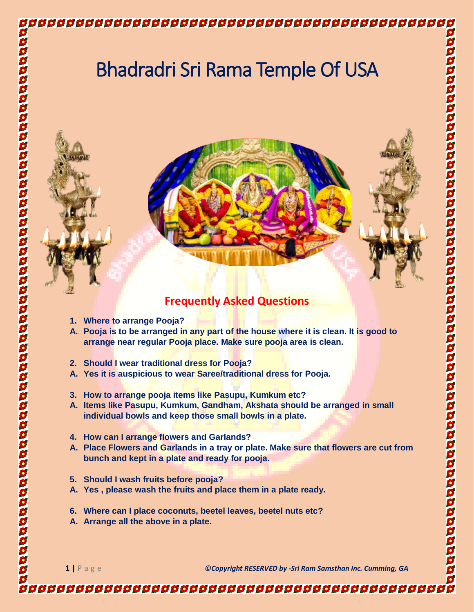

## **Frequently Asked Questions**

**1. Where to arrange Pooja?**

- **A. Pooja is to be arranged in any part of the house where it is clean. It is good to arrange near regular Pooja place. Make sure pooja area is clean.**
- **2. Should I wear traditional dress for Pooja?**
- **A. Yes it is auspicious to wear Saree/traditional dress for Pooja.**
- **3. How to arrange pooja items like Pasupu, Kumkum etc?**
- **A. Items like Pasupu, Kumkum, Gandham, Akshata should be arranged in small individual bowls and keep those small bowls in a plate.**
- **4. How can I arrange flowers and Garlands?**
- **A. Place Flowers and Garlands in a tray or plate. Make sure that flowers are cut from bunch and kept in a plate and ready for pooja.**
- **5. Should I wash fruits before pooja?**
- **A. Yes , please wash the fruits and place them in a plate ready.**
- **6. Where can I place coconuts, beetel leaves, beetel nuts etc?**
- **A. Arrange all the above in a plate.**

**1 |** P a g e *©Copyright RESERVED by -Sri Ram Samsthan Inc. Cumming, GA*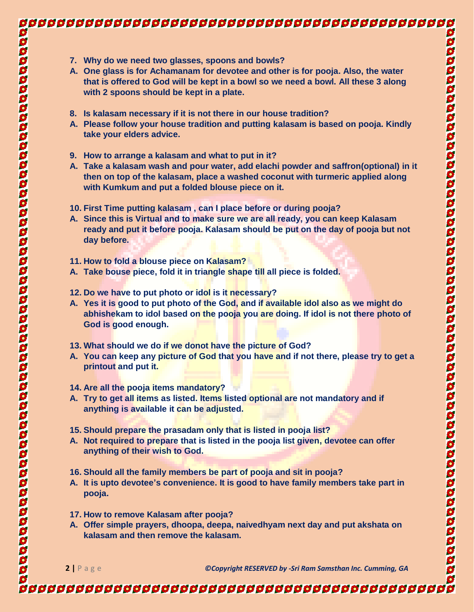## 

- **7. Why do we need two glasses, spoons and bowls?**
- **A. One glass is for Achamanam for devotee and other is for pooja. Also, the water that is offered to God will be kept in a bowl so we need a bowl. All these 3 along with 2 spoons should be kept in a plate.**
- **8. Is kalasam necessary if it is not there in our house tradition?**
- **A. Please follow your house tradition and putting kalasam is based on pooja. Kindly take your elders advice.**
- **9. How to arrange a kalasam and what to put in it?**
- **A. Take a kalasam wash and pour water, add elachi powder and saffron(optional) in it then on top of the kalasam, place a washed coconut with turmeric applied along with Kumkum and put a folded blouse piece on it.**
- **10. First Time putting kalasam , can I place before or during pooja?**
- **A. Since this is Virtual and to make sure we are all ready, you can keep Kalasam ready and put it before pooja. Kalasam should be put on the day of pooja but not day before.**
- **11. How to fold a blouse piece on Kalasam?**
- **A. Take bouse piece, fold it in triangle shape till all piece is folded.**
- **12. Do we have to put photo or idol is it necessary?**
- **A. Yes it is good to put photo of the God, and if available idol also as we might do abhishekam to idol based on the pooja you are doing. If idol is not there photo of God is good enough.**
- **13. What should we do if we donot have the picture of God?**
- **A. You can keep any picture of God that you have and if not there, please try to get a printout and put it.**
- **14. Are all the pooja items mandatory?**
- **A. Try to get all items as listed. Items listed optional are not mandatory and if anything is available it can be adjusted.**
- **15. Should prepare the prasadam only that is listed in pooja list?**
- **A. Not required to prepare that is listed in the pooja list given, devotee can offer anything of their wish to God.**
- **16. Should all the family members be part of pooja and sit in pooja?**
- **A. It is upto devotee's convenience. It is good to have family members take part in pooja.**
- **17. How to remove Kalasam after pooja?**
- **A. Offer simple prayers, dhoopa, deepa, naivedhyam next day and put akshata on kalasam and then remove the kalasam.**

**2 |** P a g e *©Copyright RESERVED by -Sri Ram Samsthan Inc. Cumming, GA*